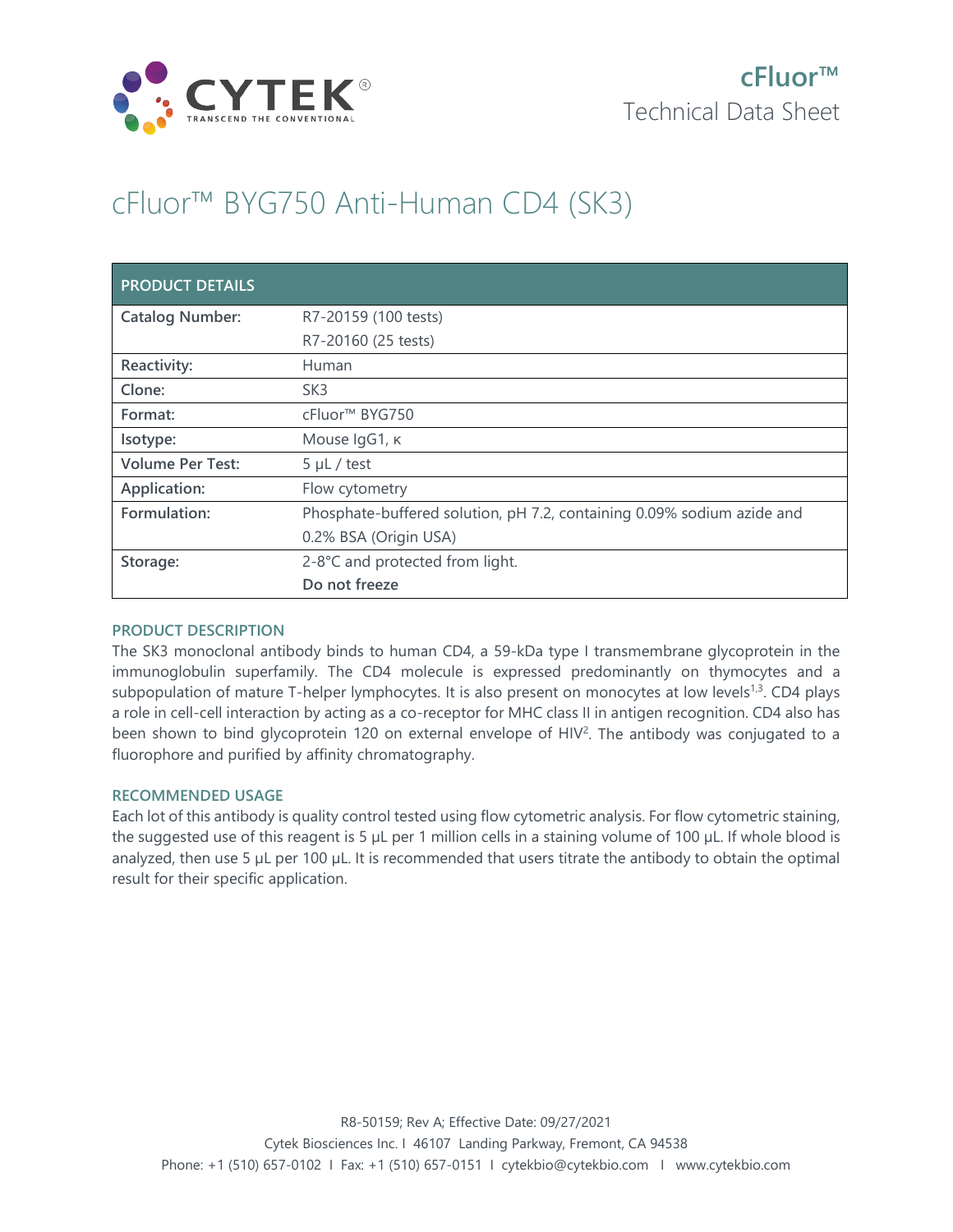

# cFluor™ BYG750 Anti-Human CD4 (SK3)

| <b>PRODUCT DETAILS</b>  |                                                                        |
|-------------------------|------------------------------------------------------------------------|
| <b>Catalog Number:</b>  | R7-20159 (100 tests)                                                   |
|                         | R7-20160 (25 tests)                                                    |
| Reactivity:             | Human                                                                  |
| Clone:                  | SK <sub>3</sub>                                                        |
| Format:                 | cFluor <sup>™</sup> BYG750                                             |
| Isotype:                | Mouse IgG1, к                                                          |
| <b>Volume Per Test:</b> | $5 \mu L$ / test                                                       |
| Application:            | Flow cytometry                                                         |
| Formulation:            | Phosphate-buffered solution, pH 7.2, containing 0.09% sodium azide and |
|                         | 0.2% BSA (Origin USA)                                                  |
| Storage:                | 2-8°C and protected from light.                                        |
|                         | Do not freeze                                                          |

### **PRODUCT DESCRIPTION**

The SK3 monoclonal antibody binds to human CD4, a 59-kDa type I transmembrane glycoprotein in the immunoglobulin superfamily. The CD4 molecule is expressed predominantly on thymocytes and a subpopulation of mature T-helper lymphocytes. It is also present on monocytes at low levels<sup>1,3</sup>. CD4 plays a role in cell-cell interaction by acting as a co-receptor for MHC class II in antigen recognition. CD4 also has been shown to bind glycoprotein 120 on external envelope of HIV<sup>2</sup>. The antibody was conjugated to a fluorophore and purified by affinity chromatography.

### **RECOMMENDED USAGE**

Each lot of this antibody is quality control tested using flow cytometric analysis. For flow cytometric staining, the suggested use of this reagent is 5 µL per 1 million cells in a staining volume of 100 µL. If whole blood is analyzed, then use 5 µL per 100 µL. It is recommended that users titrate the antibody to obtain the optimal result for their specific application.